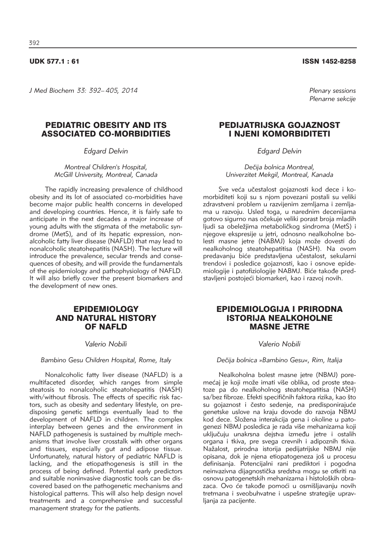*J Med Biochem 33: 392–405, 2014 Plenary sessions*

# PEDIATRIC OBESITY AND ITS ASSOCIATED CO-MORBIDITIES

*Edgard Delvin*

*Montreal Children's Hospital, McGill University, Montreal, Canada*

The rapidly increasing prevalence of childhood obesity and its lot of associated co-morbidities have become major public health concerns in developed and developing countries. Hence, it is fairly safe to anticipate in the next decades a major increase of young adults with the stigmata of the metabolic syndrome (MetS), and of its hepatic expression, nonalcoholic fatty liver disease (NAFLD) that may lead to nonalcoholic steatohepatitis (NASH). The lecture will introduce the prevalence, secular trends and consequences of obesity, and will provide the fundamentals of the epidemiology and pathophysiology of NAFLD. It will also briefly cover the present biomarkers and the development of new ones.

### **EPIDEMIOLOGY** AND NATURAL HISTORY OF NAFLD

### *Valerio Nobili*

*Bambino Gesu Children Hospital, Rome, Italy*

Nonalcoholic fatty liver disease (NAFLD) is a multifaceted disorder, which ranges from simple steatosis to nonalcoholic steatohepatitis (NASH) with/without fibrosis. The effects of specific risk factors, such as obesity and sedentary lifestyle, on predisposing genetic settings eventually lead to the development of NAFLD in children. The complex interplay between genes and the environment in NAFLD pathogenesis is sustained by multiple mechanisms that involve liver crosstalk with other organs and tissues, especially gut and adipose tissue. Unfortunately, natural history of pediatric NAFLD is lacking, and the etiopathogenesis is still in the process of being defined. Potential early predictors and suitable noninvasive diagnostic tools can be discovered based on the pathogenetic mechanisms and histological patterns. This will also help design novel treatments and a comprehensive and successful management strategy for the patients.

UDK 577.1 : 61 ISSN 1452-8258

*Plenarne sekcije*

# PEDIJATRIJSKA GOJAZNOST I NJENI KOMORBIDITETI

*Edgard Delvin*

Dečija bolnica Montreal, *Univerzitet Mekgil, Montreal, Kanada*

Sve veća učestalost gojaznosti kod dece i komorbiditeti koji su s njom povezani postali su veliki zdravstveni problem u razvijenim zemljama i zemljama u razvoju. Usled toga, u narednim decenijama gotovo sigurno nas očekuje veliki porast broja mladih ljudi sa obeležiima metaboličkog sindroma (MetS) i njegove ekspresije u jetri, odnosno nealkoholne bolesti masne jetre (NABMJ) koja može dovesti do nealkoholnog steatohepatitisa (NASH). Na ovom predavanju biće predstavljena učestalost, sekularni trendovi i posledice gojaznosti, kao i osnove epide miologije i patofiziologije NABMJ. Biće takođe predstavljeni postojeći biomarkeri, kao i razvoj novih.

### EPIDEMIOLOGIJA I PRIRODNA ISTORIJA NEALKOHOLNE MASNE JETRE

#### *Valerio Nobili*

#### *De~ija bolnica »Bambino Gesu«, Rim, Italija*

Nealkoholna bolest masne jetre (NBMJ) poremećaj je koji može imati više oblika, od proste steatoze pa do nealkoholnog steatohepatitisa (NASH) sa/bez fibroze. Efekti specifičnih faktora rizika, kao što su gojaznost i često sedenje, na predisponirajuće genetske uslove na kraju dovode do razvoja NBMJ kod dece. Složena interakcija gena i okoline u patogenezi NBMJ posledica je rada više mehanizama koji uključuju unakrsna dejstva između jetre i ostalih organa i tkiva, pre svega crevnih i adipoznih tkiva. Nažalost, prirodna istorija pedijatrijske NBMJ nije opisana, dok je njena etiopatogeneza jo{ u procesu definisanja. Potencijalni rani prediktori i pogodna neinvazivna dijagnostička sredstva mogu se otkriti na osnovu patogenetskih mehanizama i histoloških obrazaca. Ovo će takođe pomoći u osmišljavanju novih tretmana i sveobuhvatne i uspešne strategije upravljanja za pacijente.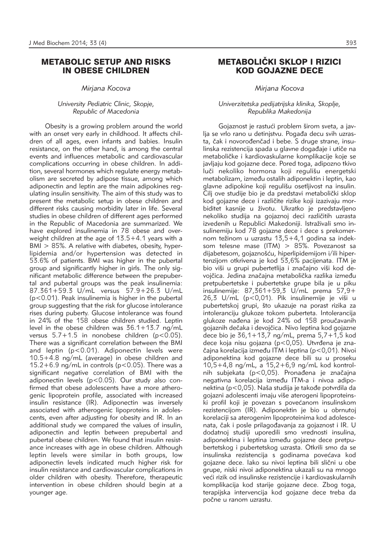### METABOLIC SETUP AND RISKS IN OBESE CHILDREN

*Mirjana Kocova*

#### *University Pediatric Clinic, Skopje, Republic of Macedonia*

Obesity is a growing problem around the world with an onset very early in childhood. It affects children of all ages, even infants and babies. Insulin resistance, on the other hand, is among the central events and influences metabolic and cardiovascular complications occurring in obese children. In addition, several hormones which regulate energy metabolism are secreted by adipose tissue, among which adiponectin and leptin are the main adipokines regulating insulin sensitivity. The aim of this study was to present the metabolic setup in obese children and different risks causing morbidity later in life. Several studies in obese children of different ages performed in the Republic of Macedonia are summarized. We have explored insulinemia in 78 obese and overweight children at the age of 13.5+4.1 years with a BMI > 85%. A relative with diabetes, obesity, hyperlipidemia and/or hypertension was detected in 53.6% of patients. BMI was higher in the pubertal group and significantly higher in girls. The only significant metabolic difference between the prepubertal and pubertal groups was the peak insulinemia: 87.361+59.3 U/mL versus 57.9+26.3 U/mL (p<0.01). Peak insulinemia is higher in the pubertal group suggesting that the risk for glucose intolerance rises during puberty. Glucose intolerance was found in 24% of the 158 obese children studied. Leptin level in the obese children was  $36.1+13.7$  ng/mL versus  $5.7+1.5$  in nonobese children ( $p < 0.05$ ). There was a significant correlation between the BMI and leptin (p<0.01). Adiponectin levels were 10.5+4.8 ng/mL (average) in obese children and 15.2+6.9 ng/mL in controls ( $p$ <0.05). There was a significant negative correlation of BMI with the adiponectin levels (p<0.05). Our study also confirmed that obese adolescents have a more atherogenic lipoprotein profile, associated with increased insulin resistance (IR). Adiponectin was inversely associated with atherogenic lipoproteins in adolescents, even after adjusting for obesity and IR. In an additional study we compared the values of insulin, adiponectin and leptin between prepubertal and pubertal obese children. We found that insulin resistance increases with age in obese children. Although leptin levels were similar in both groups, low adiponectin levels indicated much higher risk for insulin resistance and cardiovascular complications in older children with obesity. Therefore, therapeutic intervention in obese children should begin at a younger age.

# METABOLIČKI SKLOP I RIZICI KOD GOJAZNE DECE

*Mirjana Kocova*

#### *Univerzitetska pedijatrijska klinika, Skoplje, Republika Makedonija*

Gojaznost je rastući problem širom sveta, a javlja se vrlo rano u detinjstvu. Pogađa decu svih uzrasta, čak i novorođenčad i bebe. S druge strane, insulinska rezistencija spada u glavne događaje i utiče na metaboličke i kardiovaskularne komplikacije koje se javljaju kod gojazne dece. Pored toga, adipozno tkivo luči nekoliko hormona koji regulišu energetski metabolizam, između ostalih adiponektin i leptin, kao glavne adipokine koji regulišu osetljivost na insulin. Cilj ove studije bio je da predstavi metabolički sklop kod gojazne dece i različite rizike koji izazivaju morbiditet kasnije u životu. Ukratko je predstavljeno nekoliko studija na gojaznoj deci različitih uzrasta izvedenih u Republici Makedoniji. Istraživali smo insulinemiju kod 78 gojazne dece i dece s prekomernom težinom u uzrastu 13,5+4,1 godina sa indeksom telesne mase (ITM) > 85%. Povezanost sa dija betesom, gojaznošću, hiperlipidemijom i/ili hipertenzijom otkrivena je kod 53,6% pacijenata. ITM je bio viši u grupi pubertetlija i značajno viši kod devojčica. Jedina značajna metabolička razlika između pretpubertetske i pubertetske grupe bila je u piku  $insulinemije: 87,361+59,3$  U/mL prema  $57,9+$  $26.3$  U/mL ( $p < 0.01$ ). Pik insulinemije je viši u pubertetskoj grupi, što ukazuje na porast rizika za intoleranciju glukoze tokom puberteta. Intolerancija glukoze nađena je kod 24% od 158 proučavanih gojaznih dečaka i devojčica. Nivo leptina kod gojazne dece bio je 36,1+13,7 ng/mL, prema 5,7+1,5 kod dece koja nisu gojazna ( $p < 0.05$ ). Utvrđena je značajna korelacija između ITM i leptina (p<0,01). Nivoi adiponektina kod gojazne dece bili su u proseku 10,5+4,8 ng/mL, a 15,2+6,9 ng/mL kod kontrolnih subjekata ( $p < 0.05$ ). Pronađena je značajna negativna korelacija između ITM-a i nivoa adiponektina (p<0,05). Naša studija je takođe potvrdila da gojazni adolescenti imaju više aterogeni lipoproteinski profil koji je povezan s povećanom insulinskom rezistencijom (IR). Adiponektin je bio u obrnutoj korelaciji sa aterogenim lipoproteinima kod adolescenata, čak i posle prilagođavanja za gojaznost i IR. U dodatnoj studiji uporedili smo vrednosti insulina, adiponektina i leptina između gojazne dece pretpubertetskog i pubertetskog uzrasta. Otkrili smo da se insulinska rezistencija s godinama povećava kod gojazne dece. Iako su nivoi leptina bili slični u obe grupe, niski nivoi adiponektina ukazali su na mnogo veći rizik od insulinske rezistencije i kardiovaskularnih komplikacija kod starije gojazne dece. Zbog toga, tera pijska intervencija kod gojazne dece treba da počne u ranom uzrastu.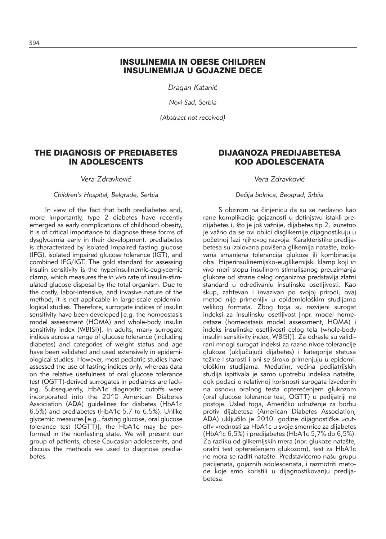# INSULINEMIA IN OBESE CHILDREN INSULINEMIJA U GOJAZNE DECE

*Dragan Katani}*

*Novi Sad, Serbia*

*(Abstract not received)*

# THE DIAGNOSIS OF PREDIABETES IN ADOLESCENTS

*Vera Zdravkovi}*

#### *Children's Hospital, Belgrade, Serbia*

In view of the fact that both prediabetes and, more importantly, type 2 diabetes have recently emerged as early complications of childhood obesity, it is of critical importance to diagnose these forms of dysglycemia early in their development. prediabetes is characterized by isolated impaired fasting glucose (IFG), isolated impaired glucose tolerance (IGT), and combined IFG/IGT. The gold standard for assessing insulin sensitivity is the hyperinsulinemic-euglycemic clamp, which measures the *in vivo* rate of insulin-stimulated glucose disposal by the total organism. Due to the costly, labor-intensive, and invasive nature of the method, it is not applicable in large-scale epidemiological studies. Therefore, surrogate indices of insulin sensitivity have been developed [e.g. the homeostasis model assessment (HOMA) and whole-body insulin sensitivity index (WBISI)]. In adults, many surrogate indices across a range of glucose tolerance (including diabetes) and categories of weight status and age have been validated and used extensively in epidemiological studies. However, most pediatric studies have assessed the use of fasting indices only, whereas data on the relative usefulness of oral glucose tolerance test (OGTT)-derived surrogates in pediatrics are lacking. Subsequently, HbA1c diagnostic cutoffs were incorporated into the 2010 American Diabetes Association (ADA) guidelines for diabetes (HbA1c 6.5%) and prediabetes (HbA1c 5.7 to 6.5%). Unlike glycemic measures [e.g., fasting glucose, oral glucose tolerance test (OGTT)], the HbA1c may be performed in the nonfasting state. We will present our group of patients, obese Caucasian adolescents, and discuss the methods we used to diagnose prediabetes.

# DIJAGNOZA PREDIJABETESA KOD ADOLESCENATA

*Vera Zdravkovi}*

*De~ija bolnica, Beograd, Srbija*

S obzirom na činjenicu da su se nedavno kao rane komplikacije gojaznosti u detinjstvu istakli predijabetes i, što je još važnije, dijabetes tip 2, izuzetno je važno da se ovi oblici disglikemije dijagnostikuju u početnoj fazi njihovog razvoja. Karakteristike predijabetesa su izolovana povišena glikemija natašte, izolovana smanjena tolerancija glukoze ili kombinacija oba. Hiperinsuli ne mijsko-euglikemijski klamp koji *in vivo* meri stopu insulinom stimulisanog preuzimanja glukoze od strane celog organizma predstavlja zlatni standard u određivanju insulinske osetljivosti. Kao skup, zahtevan i invazivan po svojoj prirodi, ovaj metod nije primenljiv u epidemiološkim studijama velikog formata. Zbog toga su razvijeni surogat indeksi za insulinsku osetljivost [npr. model homeostaze (homeostasis model assessment, HOMA) i indeks insulinske osetljivosti celog tela (whole-body insulin sensitivity index, WBISI)]. Za odrasle su validirani mnogi surogat indeksi za razne nivoe tolerancije glukoze (uključujući dijabetes) i kategorije statusa težine i starosti i oni se široko primenjuju u epidemiološkim studijama. Međutim, većina pedijatrijskih studija ispitivala je samo upotrebu indeksa natašte, dok podaci o relativnoj korisnosti surogata izvedenih na osnovu oralnog testa opterećenjem glukozom (oral glucose tolerance test, OGTT) u pedijatriji ne postoje. Usled toga, Američko udruženje za borbu protiv dijabetesa (American Diabetes Association, ADA) uključilo je 2010. godine dijagnostičke »cutoff« vrednosti za HbA1c u svoje smernice za dijabetes (HbA1c 6,5%) i predijabetes (HbA1c 5,7% do 6,5%). Za razliku od glikemijskih mera (npr. glukoze natašte, oralni test opterećeniem glukozom), test za HbA1c ne mora se raditi natašte. Predstavićemo našu grupu pacijenata, gojaznih adolescenata, i razmotriti metode koje smo koristili u dijagnostikovanju predijabetesa.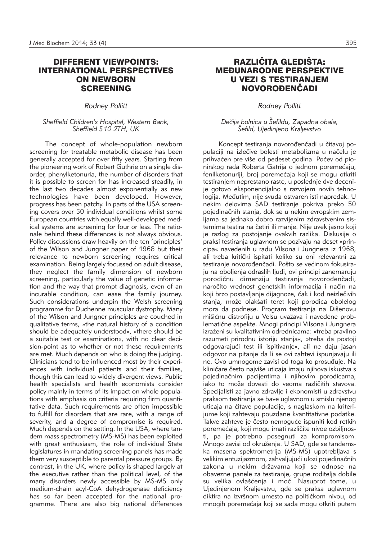### DIFFERENT VIEWPOINTS: INTERNATIONAL PERSPECTIVES ON NEWBORN SCREENING

*Rodney Pollitt*

#### *Sheffield Children's Hospital, Western Bank, Sheffield S10 2TH, UK*

The concept of whole-population newborn screening for treatable metabolic disease has been generally accepted for over fifty years. Starting from the pioneering work of Robert Guthrie on a single disorder, phenylketonuria, the number of disorders that it is possible to screen for has increased steadily, in the last two decades almost exponentially as new technologies have been developed. However, progress has been patchy. In parts of the USA screening covers over 50 individual conditions whilst some European countries with equally well-developed medical systems are screening for four or less. The rationale behind these differences is not always obvious. Policy discussions draw heavily on the ten 'principles' of the Wilson and Jungner paper of 1968 but their relevance to newborn screening requires critical examination. Being largely focussed on adult disease, they neglect the family dimension of newborn screening, particularly the value of genetic information and the way that prompt diagnosis, even of an incurable condition, can ease the family journey. Such considerations underpin the Welsh screening programme for Duchenne muscular dystrophy. Many of the Wilson and Jungner principles are couched in qualitative terms, »the natural history of a condition should be adequately understood«, »there should be a suitable test or examination«, with no clear decision-point as to whether or not these requirements are met. Much depends on who is doing the judging. Clinicians tend to be influenced most by their experiences with individual patients and their families, though this can lead to widely divergent views. Public health specialists and health economists consider policy mainly in terms of its impact on whole populations with emphasis on criteria requiring firm quantitative data. Such requirements are often impossible to fulfill for disorders that are rare, with a range of severity, and a degree of compromise is required. Much depends on the setting. In the USA, where tandem mass spectrometry (MS-MS) has been exploited with great enthusiasm, the role of individual State legislatures in mandating screening panels has made them very susceptible to parental pressure groups. By contrast, in the UK, where policy is shaped largely at the executive rather than the political level, of the many disorders newly accessible by MS-MS only medium-chain acyl-CoA dehydrogenase deficiency has so far been accepted for the national programme. There are also big national differences

# RAZLIČITA GLEDIŠTA: **MEĐUNARODNE PERSPEKTIVE** U VEZI S TESTIRANJEM NOVOROĐENČADI

### *Rodney Pollitt*

### *De~ija bolnica u [efildu, Zapadna obala, [efild, Ujedinjeno Kraljevstvo*

Koncept testiranja novorođenčadi u čitavoj populaciji na izlečive bolesti metabolizma u načelu je prihvaćen pre više od pedeset godina. Počev od pionirskog rada Roberta Gatrija o jednom poremećaju, fenilketonuriji, broj poremećaja koji se mogu otkriti testiranjem neprestano raste, u poslednje dve decenije gotovo eksponencijalno s razvojem novih tehnologija. Međutim, nije svuda ostvaren isti napredak. U nekim delovima SAD testiranje pokriva preko 50 pojedinačnih stanja, dok se u nekim evropskim zemljama sa jednako dobro razvijenim zdravstvenim sistemima testira na četiri ili manje. Nije uvek jasno koji je razlog za postojanje ovakvih razlika. Diskusije o praksi testiranja uglavnom se pozivaju na deset »principa« navedenih u radu Vilsona i Jungnera iz 1968, ali treba kritički ispitati koliko su oni relevantni za testiranje novorođenčadi. Pošto se većinom fokusiraju na oboljenja odraslih ljudi, ovi principi zanemaruju porodičnu dimenziju testiranja novorođenčadi, naročito vrednost genetskih informacija i način na koji brzo postavljanje dijagnoze, čak i kod neizlečivih stanja, može olakšati teret koji porodica obolelog mora da podnese. Program testiranja na Dišenovu mišićnu distrofiju u Velsu uvažava i navedene problematične aspekte. Mnogi principi Vilsona i Jungnera izraženi su kvalitativnim odrednicama: »treba pravilno razumeti prirodnu istoriju stanja«, »treba da postoji odgovarajući test ili ispitivanje«, ali ne daju jasan odgovor na pitanje da li se ovi zahtevi ispunjavaju ili ne. Ovo umnogome zavisi od toga ko prosuđuje. Na kliničare često najviše uticaja imaju njihova iskustva s pojedinačnim pacijentima i njihovim porodicama, iako to može dovesti do veoma različitih stavova. Specijalisti za javno zdravlje i ekonomisti u zdravstvu praksom testirania se bave uglavnom u smislu njenog uticaja na čitave populacije, s naglaskom na kriterijume koji zahtevaju pouzdane kvantitativne podatke. Takve zahteve je često nemoguće ispuniti kod retkih poremećaja, koji mogu imati različite nivoe ozbiljnosti, pa je potrebno posegnuti za kompromisom. Mnogo zavisi od okruženja. U SAD, gde se tandemska masena spektrometrija (MS-MS) upotrebljava s velikim entuzijazmom, zahvaljujući ulozi pojedinačnih zakona u nekim državama koji se odnose na obavezne panele za testiranje, grupe roditelja dobile su velika ovlašćenja i moć. Nasuprot tome, u Ujedinjenom Kraljevstvu, gde se praksa uglavnom diktira na izvršnom umesto na političkom nivou, od mnogih poremećaja koji se sada mogu otkriti putem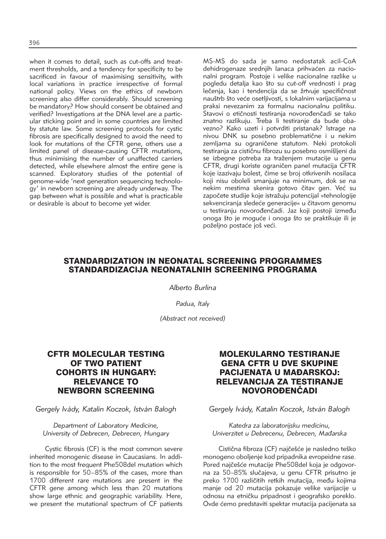when it comes to detail, such as cut-offs and treatment thresholds, and a tendency for specificity to be sacrificed in favour of maximising sensitivity, with local variations in practice irrespective of formal national policy. Views on the ethics of newborn screening also differ considerably. Should screening be mandatory? How should consent be obtained and verified? Investigations at the DNA level are a particular sticking point and in some countries are limited by statute law. Some screening protocols for cystic fibrosis are specifically designed to avoid the need to look for mutations of the CFTR gene, others use a limited panel of disease-causing CFTR mutations, thus minimising the number of unaffected carriers detected, while elsewhere almost the entire gene is scanned. Exploratory studies of the potential of genome-wide 'next generation sequencing technology' in newborn screening are already underway. The gap between what is possible and what is practicable or desirable is about to become yet wider.

MS-MS do sada je samo nedostatak acil-CoA dehidrogenaze srednjih lanaca prihvaćen za nacionalni program. Postoje i velike nacionalne razlike u pogledu detalja kao što su cut-off vrednosti i prag lečenja, kao i tendencija da se žrtvuje specifičnost nauštrb što veće osetljivosti, s lokalnim varijacijama u praksi nevezanim za formalnu nacionalnu politiku. Stavovi o etičnosti testirania novorođenčadi se tako znatno razlikuju. Treba li testiranje da bude obavezno? Kako uzeti i potvrditi pristanak? Istrage na nivou DNK su posebno problematične i u nekim zemljama su ograničene statutom. Neki protokoli testiranja za cističnu fibrozu su posebno osmišlieni da se izbegne potreba za traženjem mutacije u genu CFTR, drugi koriste ograničen panel mutacija CFTR koje izazivaju bolest, čime se broj otkrivenih nosilaca koji nisu oboleli smanjuje na minimum, dok se na nekim mestima skenira gotovo čitav gen. Već su započete studije koje istražuju potencijal »tehnologije sekvenciranja sledeće generacije« u čitavom genomu u testiranju novorođenčadi. Jaz koji postoji između onoga što je moguće i onoga što se praktikuje ili je poželjno postaće još veći.

# STANDARDIZATION IN NEONATAL SCREENING PROGRAMMES STANDARDIZACIJA NEONATALNIH SCREENING PROGRAMA

*Alberto Burlina*

*Padua, Italy*

*(Abstract not received)*

# CFTR MOLECULAR TESTING OF TWO PATIENT COHORTS IN HUNGARY: RELEVANCE TO NEWBORN SCREENING

*Gergely Ivády, Katalin Koczok, István Balogh*

*Department of Laboratory Medicine, University of Debrecen, Debrecen, Hungary*

Cystic fibrosis (CF) is the most common severe inherited monogenic disease in Caucasians. In addition to the most frequent Phe508del mutation which is responsible for 50–85% of the cases, more than 1700 different rare mutations are present in the CFTR gene among which less than 20 mutations show large ethnic and geographic variability. Here, we present the mutational spectrum of CF patients

# MOLEKULARNO TESTIRANJE GENA CFTR U DVE SKUPINE PACIJENATA U MAĐARSKOJ: RELEVANCIJA ZA TESTIRANJE NOVOROĐENČADI

*Gergely Ivády, Katalin Koczok, István Balogh*

*Katedra za laboratorijsku medicinu, Univerzitet u Debrecenu, Debrecen, Ma|arska*

Cistična fibroza (CF) najčešće je nasledno teško monogeno oboljenje kod pripadnika evropeidne rase. Pored najčešće mutacije Phe508del koja je odgovorna za 50–85% slučajeva, u genu CFTR prisutno je preko 1700 različitih retkih mutacija, među kojima manje od 20 mutacija pokazuje velike varijacije u odnosu na etničku pripadnost i geografsko poreklo. Ovde ćemo predstaviti spektar mutacija pacijenata sa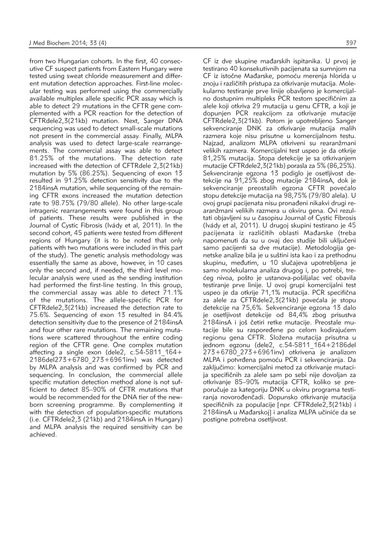from two Hungarian cohorts. In the first, 40 consecutive CF suspect patients from Eastern Hungary were tested using sweat chloride measurement and different mutation detection approaches. First-line molecular testing was performed using the commercially available multiplex allele specific PCR assay which is able to detect 29 mutations in the CFTR gene complemented with a PCR reaction for the detection of CFTRdele2,3(21kb) mutation. Next, Sanger DNA sequencing was used to detect small-scale mutations not present in the commercial assay. Finally, MLPA analysis was used to detect large-scale rearrangements. The commercial assay was able to detect 81.25% of the mutations. The detection rate increased with the detection of CFTRdele 2,3(21kb) mutation by 5% (86.25%). Sequencing of exon 13 resulted in 91.25% detection sensitivity due to the 2184insA mutation, while sequencing of the remaining CFTR exons increased the mutation detection rate to 98.75% (79/80 allele). No other large-scale intragenic rearrangements were found in this group of patients. These results were published in the Journal of Cystic Fibrosis (Ivády et al, 2011). In the second cohort, 45 patients were tested from different regions of Hungary (it is to be noted that only patients with two mutations were included in this part of the study). The genetic analysis methodology was essentially the same as above, however, in 10 cases only the second and, if needed, the third level molecular analysis were used as the sending institution had performed the first-line testing. In this group, the commercial assay was able to detect 71.1% of the mutations. The allele-specific PCR for CFTRdele2,3(21kb) increased the detection rate to 75.6%. Sequencing of exon 13 resulted in 84.4% detection sensitivity due to the presence of 2184insA and four other rare mutations. The remaining mutations were scattered throughout the entire coding region of the CFTR gene. One complex mutation affecting a single exon (dele2,  $c.54-5811$  164+ 2186del273+6780\_273+6961inv) was detected by MLPA analysis and was confirmed by PCR and sequencing. In conclusion, the commercial allele specific mutation detection method alone is not sufficient to detect 85–90% of CFTR mutations that would be recommended for the DNA tier of the newborn screening programme. By complementing it with the detection of population-specific mutations (i.e. CFTRdele2,3 (21kb) and 2184insA in Hungary) and MLPA analysis the required sensitivity can be achieved.

CF iz dve skupine mađarskih ispitanika. U prvoj je testirano 40 konsekutivnih pacijenata sa sumnjom na CF iz istočne Mađarske, pomoću merenja hlorida u znoju i različitih pristupa za otkrivanje mutacija. Molekularno testiranje prve linije obavljeno je komercijalno dostupnim multipleks PCR testom specifičnim za alele koji otkriva 29 mutacija u genu CFTR, a koji je dopunjen PCR reakcijom za otkrivanje mutacije CFTRdele2,3(21kb). Potom je upotrebljeno Sanger sekvenciranje DNK za otkrivanje mutacija malih razmera koje nisu prisutne u komercijalnom testu. Najzad, analizom MLPA otkriveni su rearanžmani velikih razmera. Komercijalni test uspeo je da otkrije 81,25% mutacija. Stopa detekcije je sa otkrivanjem mutacije CFTRdele2,3(21kb) porasla za 5% (86,25%). Sekvenciranje egzona 13 podiglo je osetljivost detekcije na 91,25% zbog mutacije 2184insA, dok je sekvenciranje preostalih egzona CFTR povećalo stopu detekcije mutacija na 98,75% (79/80 alela). U ovoj grupi pacijenata nisu pronađeni nikakvi drugi rearanžmani velikih razmera u okviru gena. Ovi rezultati objavljeni su u časopisu Journal of Cystic Fibrosis (Ivády et al, 2011). U drugoj skupini testirano je 45 pacijenata iz različitih oblasti Mađarske (treba napomenuti da su u ovaj deo studije bili uključeni samo pacijenti sa dve mutacije). Metodologija genetske analize bila je u suštini ista kao i za prethodnu skupinu, međutim, u 10 slučajeva upotrebljena je samo molekularna analiza drugog i, po potrebi, trećeg nivoa, pošto je ustanova-pošiljalac već obavila testiranje prve linije. U ovoj grupi komercijalni test uspeo je da otkrije 71,1% mutacija. PCR specifična za alele za CFTRdele2,3(21kb) povećala je stopu detekcije na 75,6%. Sekvenciranje egzona 13 dalo je osetljivost detekcije od 84,4% zbog prisustva 2184insA i još četiri retke mutacije. Preostale mutacije bile su raspoređene po celom kodirajućem regionu gena CFTR. Složena mutacija prisutna u jednom egzonu (dele2, c.54-5811\_164+2186del  $273+6780$  273+6961inv) otkrivena je analizom MLPA i potvrđena pomoću PCR i sekvenciranja. Da zaključimo: komercijalni metod za otkrivanje mutacija specifičnih za alele sam po sebi nije dovoljan za otkrivanje 85–90% mutacija CFTR, koliko se preporučuje za kategoriju DNK u okviru programa testiranja novorođenčadi. Dopunsko otkrivanje mutacija specifičnih za populacije [npr. CFTRdele2,3(21kb) i 2184insA u Mađarskoj] i analiza MLPA učiniće da se postigne potrebna osetljivost.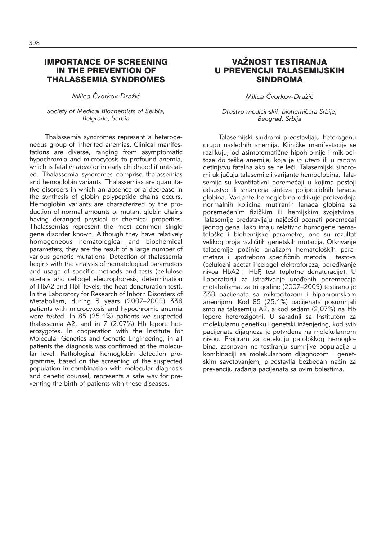### IMPORTANCE OF SCREENING IN THE PREVENTION OF THALASSEMIA SYNDROMES

*Milica ^vorkov-Dra`i}*

#### *Society of Medical Biochemists of Serbia, Belgrade, Serbia*

Thalassemia syndromes represent a heterogeneous group of inherited anemias. Clinical manifestations are diverse, ranging from asymptomatic hypochromia and microcytosis to profound anemia, which is fatal *in utero* or in early childhood if untreated. Thalassemia syndromes comprise thalassemias and hemoglobin variants. Thalassemias are quantitative disorders in which an absence or a decrease in the synthesis of globin polypeptide chains occurs. Hemoglobin variants are characterized by the production of normal amounts of mutant globin chains having deranged physical or chemical properties. Thalassemias represent the most common single gene disorder known. Although they have relatively homogeneous hematological and biochemical parameters, they are the result of a large number of various genetic mutations. Detection of thalassemia begins with the analysis of hematological parameters and usage of specific methods and tests (cellulose acetate and cellogel electrophoresis, determination of HbA2 and HbF levels, the heat denaturation test). In the Laboratory for Research of Inborn Disorders of Metabolism, during 3 years (2007–2009) 338 patients with microcytosis and hypochromic anemia were tested. In 85 (25.1%) patients we suspected thalassemia A2, and in 7 (2.07%) Hb lepore heterozygotes. In cooperation with the Institute for Molecular Genetics and Genetic Engineering, in all patients the diagnosis was confirmed at the molecular level. Pathological hemoglobin detection programme, based on the screening of the suspected population in combination with molecular diagnosis and genetic counsel, represents a safe way for preventing the birth of patients with these diseases.

# VAŽNOST TESTIRANJA U PREVENCIJI TALASEMIJSKIH SINDROMA

*Milica ^vorkov-Dra`i}*

*Dru{tvo medicinskih biohemi~ara Srbije, Beograd, Srbija*

Talasemijski sindromi predstavljaju heterogenu grupu naslednih anemija. Kliničke manifestacije se razlikuju, od asimptomatične hipohromije i mikrocitoze do te{ke anemije, koja je *in utero* ili u ranom detinjstvu fatalna ako se ne leči. Talasemijski sindromi uključuju talasemije i varijante hemoglobina. Talasemije su kvantitativni poremećaji u kojima postoji odsustvo ili smanjena sinteza polipeptidnih lanaca globina. Varijante hemoglobina odlikuje proizvodnja normalnih količina mutiranih lanaca globina sa poremećenim fizičkim ili hemijskim svojstvima. Talasemije predstavljaju najčešći poznati poremećaj jednog gena. Iako imaju relativno homogene hematolo{ke i biohemijske parametre, one su rezultat velikog broja različitih genetskih mutacija. Otkrivanje talasemije počinje analizom hematoloških parametara i upotrebom specifičnih metoda i testova (celulozni acetat i celogel elektroforeza, određivanje nivoa HbA2 i HbF, test toplotne denaturacije). U Laboratoriji za istraživanje urođenih poremećaja metabolizma, za tri godine (2007–2009) testirano je 338 pacijenata sa mikrocitozom i hipohromskom anemijom. Kod 85 (25,1%) pacijenata posumnjali smo na talasemiju A2, a kod sedam (2,07%) na Hb lepore heterozigotni. U saradnji sa Institutom za molekularnu genetiku i genetski inženjering, kod svih pacijenata dijagnoza je potvrđena na molekularnom nivou. Program za detekciju patološkog hemoglobina, zasnovan na testiranju sumnjive populacije u kombinaciji sa molekularnom dijagnozom i genetskim savetovanjem, predstavlja bezbedan način za prevenciju rađanja pacijenata sa ovim bolestima.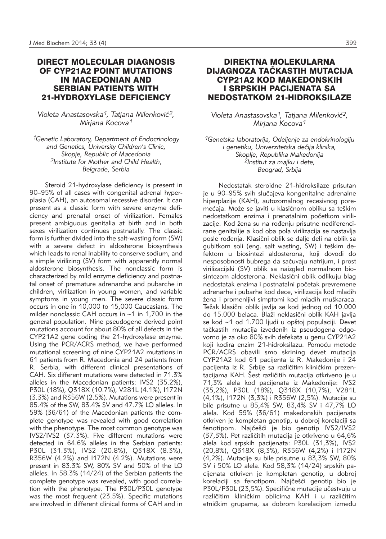# DIRECT MOLECULAR DIAGNOSIS OF CYP21A2 POINT MUTATIONS IN MACEDONIAN AND SERBIAN PATIENTS WITH 21-HYDROXYLASE DEFICIENCY

Violeta Anastasovska<sup>1</sup>, Tatjana Milenković<sup>2</sup>, *Mirjana Kocova1*

*1Genetic Laboratory, Department of Endocrinology and Genetics, University Children's Clinic, Skopje, Republic of Macedonia 2Institute for Mother and Child Health, Belgrade, Serbia* 

Steroid 21-hydroxylase deficiency is present in 90–95% of all cases with congenital adrenal hyperplasia (CAH), an autosomal recessive disorder. It can present as a classic form with severe enzyme deficiency and prenatal onset of virilization. Females present ambiguous genitalia at birth and in both sexes virilization continues postnatally. The classic form is further divided into the salt-wasting form (SW) with a severe defect in aldosterone biosynthesis which leads to renal inability to conserve sodium, and a simple virilizing (SV) form with apparently normal aldosterone biosynthesis. The nonclassic form is characterized by mild enzyme deficiency and postnatal onset of premature adrenarche and pubarche in children, virilization in young women, and variable symptoms in young men. The severe classic form occurs in one in 10,000 to 15,000 Caucasians. The milder nonclassic CAH occurs in ∼1 in 1,700 in the general population. Nine pseudogene derived point mutations account for about 80% of all defects in the CYP21A2 gene coding the 21-hydroxylase enzyme. Using the PCR/ACRS method, we have performed mutational screening of nine CYP21A2 mutations in 61 patients from R. Macedonia and 24 patients from R. Serbia, with different clinical presentations of CAH. Six different mutations were detected in 71.3% alleles in the Macedonian patients: IVS2 (35.2%), P30L (18%), Q318X (10.7%), V281L (4.1%), I172N (3.3%) and R356W (2.5%). Mutations were present in 85.4% of the SW, 83.4% SV and 47.7% LO alleles. In 59% (36/61) of the Macedonian patients the complete genotype was revealed with good correlation with the phenotype. The most common genotype was IVS2/IVS2 (37.3%). Five different mutations were detected in 64.6% alleles in the Serbian patients: P30L (31.3%), IVS2 (20.8%), Q318X (8.3%), R356W (4.2%) and I172N (4.2%). Mutations were present in 83.3% SW, 80% SV and 50% of the LO alleles. In 58.3% (14/24) of the Serbian patients the complete genotype was revealed, with good correlation with the phenotype. The P30L/P30L genotype was the most frequent (23.5%). Specific mutations are involved in different clinical forms of CAH and in

## DIREKTNA MOLEKULARNA DIJAGNOZA TAČKASTIH MUTACIJA CYP21A2 KOD MAKEDONSKIH I SRPSKIH PACIJENATA SA NEDOSTATKOM 21-HIDROKSILAZE

Violeta Anastasovska<sup>1</sup>, Tatjana Milenković<sup>2</sup>, *Mirjana Kocova1*

*1Genetska laboratorija, Odeljenje za endokrinologiju*   $i$  genetiku, Univerzitetska dečija klinika, *Skoplje, Republika Makedonija 2Institut za majku i dete, Beograd, Srbija*

Nedostatak steroidne 21-hidroksilaze prisutan je u 90–95% svih slučajeva kongenitalne adrenalne hiperplazije (KAH), autozomalnog recesivnog poremećaja. Može se javiti u klasičnom obliku sa teškim nedostatkom enzima i prenatalnim početkom virilizacije. Kod žena su na rođenju prisutne nediferencirane genitalije a kod oba pola virilizacija se nastavlja posle rođenia. Klasični oblik se dalje deli na oblik sa gubitkom soli (eng. salt wasting, SW) i teškim defektom u biosintezi aldosterona, koji dovodi do nesposobnosti bubrega da sačuvaju natrijum, i prost virilizacijski (SV) oblik sa naizgled normalnom biosintezom aldosterona. Neklasični oblik odlikuju blag nedostatak enzima i postnatalni početak prevremene adrenarhe i pubarhe kod dece, virilizacija kod mladih žena i promenljivi simptomi kod mladih muškaraca. Težak klasični oblik javlja se kod jednog od 10.000 do 15.000 belaca. Blaži neklasični oblik KAH javlja se kod ∼1 od 1.700 ljudi u opštoj populaciji. Devet tačkastih mutacija izvedenih iz pseudogena odgovorno je za oko 80% svih defekata u genu CYP21A2 koji kodira enzim 21-hidroksilazu. Pomoću metode PCR/ACRS obavili smo skrining devet mutacija CYP21A2 kod 61 pacijenta iz R. Makedonije i 24 pacijenta iz R. Srbije sa različitim kliničkim prezentacijama KAH. Šest različitih mutacija otkriveno je u 71,3% alela kod pacijenata iz Makedonije: IVS2 (35,2%), P30L (18%), Q318X (10,7%), V281L (4,1%), I172N (3,3%) i R356W (2,5%). Mutacije su bile prisutne u 85,4% SW, 83,4% SV i 47,7% LO alela. Kod 59% (36/61) makedonskih pacijenata otkriven je kompletan genotip, u dobroj korelaciji sa fenotipom. Najčešći je bio genotip IVS2/IVS2 (37,3%). Pet različitih mutacija je otkriveno u 64,6% alela kod srpskih pacijenata: P30L (31,3%), IVS2 (20,8%), Q318X (8,3%), R356W (4,2%) i I172N (4,2%). Mutacije su bile prisutne u 83,3% SW, 80% SV i 50% LO alela. Kod 58,3% (14/24) srpskih pacijenata otkriven je kompletan genotip, u dobroj korelaciji sa fenotipom. Najčešći genotip bio je P30L/P30L (23,5%). Specifične mutacije učestvuju u različitim kliničkim oblicima KAH i u različitim etničkim grupama, sa dobrom korelacijom između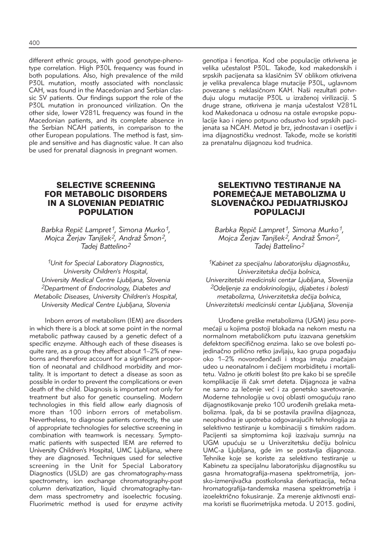different ethnic groups, with good genotype-phenotype correlation. High P30L frequency was found in both populations. Also, high prevalence of the mild P30L mutation, mostly associated with nonclassic CAH, was found in the Macedonian and Serbian classic SV patients. Our findings support the role of the P30L mutation in pronounced virilization. On the other side, lower V281L frequency was found in the Macedonian patients, and its complete absence in the Serbian NCAH patients, in comparison to the other European populations. The method is fast, simple and sensitive and has diagnostic value. It can also be used for prenatal diagnosis in pregnant women.

> SELECTIVE SCREENING FOR METABOLIC DISORDERS IN A SLOVENIAN PEDIATRIC POPULATION

Barbka Repič Lampret<sup>1</sup>, Simona Murko<sup>1</sup>, *Mojca Žerjav Tanjšek<sup>2</sup>, Andraž Šmon<sup>2</sup>, Tadej Battelino2*

*1Unit for Special Laboratory Diagnostics, University Children's Hospital, University Medical Centre Ljubljana, Slovenia 2Department of Endocrinology, Diabetes and Metabolic Diseases, University Children's Hospital, University Medical Centre Ljubljana, Slovenia* 

Inborn errors of metabolism (IEM) are disorders in which there is a block at some point in the normal metabolic pathway caused by a genetic defect of a specific enzyme. Although each of these diseases is quite rare, as a group they affect about 1–2% of newborns and therefore account for a significant proportion of neonatal and childhood morbidity and mortality. It is important to detect a disease as soon as possible in order to prevent the complications or even death of the child. Diagnosis is important not only for treatment but also for genetic counseling. Modern technologies in this field allow early diagnosis of more than 100 inborn errors of metabolism. Nevertheless, to diagnose patients correctly, the use of appropriate technologies for selective screening in combination with teamwork is necessary. Symptomatic patients with suspected IEM are referred to University Children's Hospital, UMC Ljubljana, where they are diagnosed. Techniques used for selective screening in the Unit for Special Laboratory Diagnostics (USLD) are gas chromatography-mass spectrometry, ion exchange chromatography-post column derivatization, liquid chromatography-tandem mass spectrometry and isoelectric focusing. Fluorimetric method is used for enzyme activity

genotipa i fenotipa. Kod obe populacije otkrivena je velika učestalost P30L. Takođe, kod makedonskih i srpskih pacijenata sa klasičnim SV oblikom otkrivena je velika prevalenca blage mutacije P30L, uglavnom povezane s neklasičnom KAH. Naši rezultati potvrđuju ulogu mutacije P30L u izraženoj virilizaciji. S druge strane, otkrivena je manja učestalost V281L kod Makedonaca u odnosu na ostale evropske populacije kao i njeno potpuno odsustvo kod srpskih pacijenata sa NCAH. Metod je brz, jednostavan i osetljiv i ima dijagnostičku vrednost. Takođe, može se koristiti za prenatalnu dijagnozu kod trudnica.

## SELEKTIVNO TESTIRANJE NA POREMEĆAJE METABOLIZMA U SLOVENAČKOJ PEDIJATRIJSKOJ POPULACIJI

Barbka Repič Lampret<sup>1</sup>, Simona Murko<sup>1</sup>, *Mojca Žerjav Tanjšek<sup>2</sup>, Andraž Šmon<sup>2</sup>, Tadej Battelino2*

*1Kabinet za specijalnu laboratorijsku dijagnostiku, Univerzitetska dečija bolnica, Univerzitetski medicinski centar Ljubljana, Slovenija 2Odeljenje za endokrinologiju, dijabetes i bolesti*  $metabolizma, Universitetska dečija bolnica,$ *Univerzitetski medicinski centar Ljubljana, Slovenija*

Urođene greške metabolizma (UGM) jesu poremećaji u kojima postoji blokada na nekom mestu na normalnom metaboličkom putu izazvana genetskim defektom specifičnog enzima. Iako se ove bolesti pojedinačno prilično retko javljaju, kao grupa pogađaju oko 1–2% novorođenčadi i stoga imaju značajan udeo u neonatalnom i dečijem morbiditetu i mortalitetu. Važno je otkriti bolest što pre kako bi se sprečile komplikacije ili čak smrt deteta. Dijagnoza je važna ne samo za lečenje već i za genetsko savetovanje. Moderne tehnologije u ovoj oblasti omogućuju rano dijagnostikovanje preko 100 urođenih grešaka metabolizma. Ipak, da bi se postavila pravilna dijagnoza, neophodna je upotreba odgovarajućih tehnologija za selektivno testiranje u kombinaciji s timskim radom. Pacijenti sa simptomima koji izazivaju sumnju na UGM upućuju se u Univerzitetsku dečiju bolnicu UMC-a Ljubljana, gde im se postavlja dijagnoza. Tehnike koje se koriste za selektivno testiranje u Kabinetu za specijalnu laboratorijsku dijagnostiku su gasna hromatografija-masena spektrometrija, jonsko-izmenjivačka postkolonska derivatizacija, tečna hromatografija-tandemska masena spektrometrija i izoelektrično fokusiranie. Za merenie aktivnosti enzima koristi se fluorimetrijska metoda. U 2013. godini,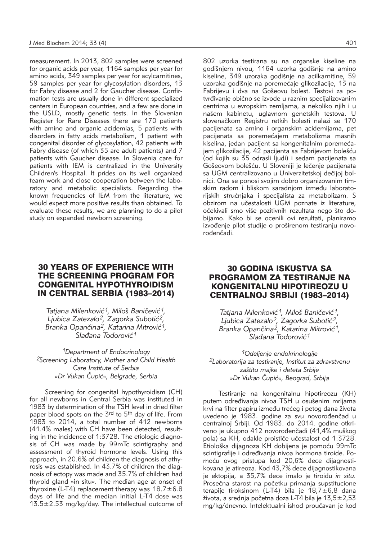measurement. In 2013, 802 samples were screened for organic acids per year, 1164 samples per year for amino acids, 349 samples per year for acylcarnitines, 59 samples per year for glycosylation disorders, 13 for Fabry disease and 2 for Gaucher disease. Confir mation tests are usually done in different specialized centers in European countries, and a few are done in the USLD, mostly genetic tests. In the Slovenian Register for Rare Diseases there are 170 patients with amino and organic acidemias, 5 patients with disorders in fatty acids metabolism, 1 patient with congenital disorder of glycosylation, 42 patients with Fabry disease (of which 35 are adult patients) and 7 patients with Gaucher disease. In Slovenia care for patients with IEM is centralized in the University Children's Hospital. It prides on its well organized team work and close cooperation between the laboratory and metabolic specialists. Regarding the known frequencies of IEM from the literature, we would expect more positive results than obtained. To evaluate these results, we are planning to do a pilot study on expanded newborn screening.

#### 802 uzorka testirana su na organske kiseline na godišnjem nivou, 1164 uzorka godišnje na amino kiseline, 349 uzoraka godišnje na acilkarnitine, 59 uzoraka godišnje na poremećaje glikozilacije, 13 na Fabrijevu i dva na Gošeovu bolest. Testovi za potvrđivanje obično se izvode u raznim specijalizovanim centrima u evropskim zemljama, a nekoliko njih i u našem kabinetu, uglavnom genetskih testova. U slovenačkom Registru retkih bolesti nalazi se 170 pacijenata sa amino i organskim acidemijama, pet pacijenata sa poremećajem metabolizma masnih kiselina, jedan pacijent sa kongenitalnim poremećajem glikozilacije, 42 pacijenta sa Fabrijevom bolešću (od kojih su 35 odrasli ljudi) i sedam pacijenata sa Gošeovom bolešću. U Sloveniji je lečenje pacijenata sa UGM centralizovano u Univerzitetskoj dečijoj bolnici. Ona se ponosi svojim dobro organizovanim timskim radom i bliskom saradnjom između laboratorijskih stručnjaka i specijalista za metabolizam. S obzirom na učestalosti UGM poznate iz literature, očekivali smo više pozitivnih rezultata nego što dobijamo. Kako bi se ocenili ovi rezultati, planiramo izvođenje pilot studije o proširenom testiranju novorođenčadi.

### 30 YEARS OF EXPERIENCE WITH THE SCREENING PROGRAM FOR CONGENITAL HYPOTHYROIDISM IN CENTRAL SERBIA (1983–2014)

Tatjana Milenković<sup>1</sup>, Miloš Baničević<sup>1</sup>, *Ljubica Zatezalo2, Zagorka Suboti}2, Branka Opan~ina2, Katarina Mitrovi}1,*  .<br>Slađana Todorović<sup>1</sup>

*1Department of Endocrinology 2Screening Laboratory, Mother and Child Health Care Institute of Serbia »Dr Vukan ^upi}«, Belgrade, Serbia*

Screening for congenital hypothyroidism (CH) for all newborns in Central Serbia was instituted in 1983 by determination of the TSH level in dried filter paper blood spots on the 3rd to 5<sup>th</sup> day of life. From  $1983$  to 2014, a total number of 412 newborns (41.4% males) with CH have been detected, resulting in the incidence of 1:3728. The etiologic diagnosis of CH was made by 99mTc scintigraphy and assessment of thyroid hormone levels. Using this approach, in 20.6% of children the diagnosis of athyrosis was established. In 43.7% of children the diagnosis of ectopy was made and 35.7% of children had thyroid gland »in situ«. The median age at onset of thyroxine (L-T4) replacement therapy was  $18.7 \pm 6.8$ days of life and the median initial L-T4 dose was 13.5±2.53 mg/kg/day. The intellectual outcome of

# 30 GODINA ISKUSTVA SA PROGRAMOM ZA TESTIRANJE NA KONGENITALNU HIPOTIREOZU U CENTRALNOJ SRBIJI (1983–2014)

Tatjana Milenković<sup>1</sup>, Miloš Baničević<sup>1</sup>, Ljubica Zatezalo<sup>2</sup>, Zagorka Subotić<sup>2</sup>, Branka Opančina<sup>2</sup>, Katarina Mitrović<sup>1</sup>, .<br>Slađana Todorović<sup>1</sup>

*1Odeljenje endokrinologije 2Laboratorija za testiranje, Institut za zdravstvenu za{titu majke i deteta Srbije »Dr Vukan ^upi}«, Beograd, Srbija*

Testiranje na kongenitalnu hipotireozu (KH) putem određivanja nivoa TSH u osušenim mrljama krvi na filter papiru između trećeg i petog dana života uvedeno je 1983. godine za svu novorođenčad u centralnoj Srbiji. Od 1983. do 2014. godine otkriveno je ukupno 412 novorođenčadi (41,4% muškog pola) sa KH, odakle proističe učestalost od 1:3728. Etiološka dijagnoza KH dobijena je pomoću 99mTc scintigrafije i određivanja nivoa hormona tiroide. Pomoću ovog pristupa kod 20,6% dece dijagnostikovana je atireoza. Kod 43,7% dece dijagnostikovana je ektopija, a 35,7% dece imalo je tiroidu *in situ.* Prosečna starost na početku primanja supstitucione terapije tiroksinom (L-T4) bila je 18,7 $\pm$ 6,8 dana života, a srednja početna doza L-T4 bila je 13,5 $\pm$ 2,53 mg/kg/dnevno. Intelektualni ishod proučavan je kod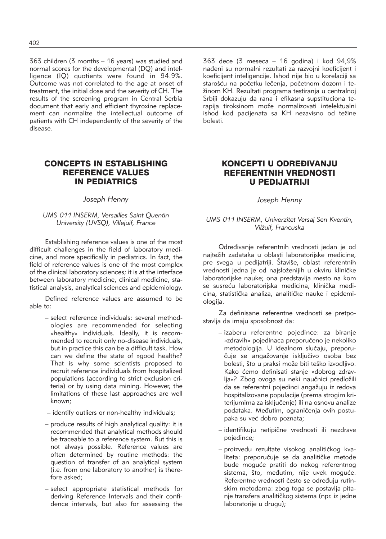363 children (3 months – 16 years) was studied and normal scores for the developmental (DQ) and intelligence (IQ) quotients were found in 94.9%. Outcome was not correlated to the age at onset of treatment, the initial dose and the severity of CH. The results of the screening program in Central Serbia document that early and efficient thyroxine replacement can normalize the intellectual outcome of patients with CH independently of the severity of the disease.

# CONCEPTS IN ESTABLISHING REFERENCE VALUES IN PEDIATRICS

### *Joseph Henny*

### *UMS 011 INSERM, Versailles Saint Quentin University (UVSQ), Villejuif, France*

Establishing reference values is one of the most difficult challenges in the field of laboratory medicine, and more specifically in pediatrics. In fact, the field of reference values is one of the most complex of the clinical laboratory sciences; it is at the interface between laboratory medicine, clinical medicine, statistical analysis, analytical sciences and epidemiology.

Defined reference values are assumed to be able to:

- select reference individuals: several methodologies are recommended for selecting »healthy« individuals. Ideally, it is recommended to recruit only no-disease individuals, but in practice this can be a difficult task. How can we define the state of »good health«? That is why some scientists proposed to recruit reference individuals from hospitalized populations (according to strict exclusion criteria) or by using data mining. However, the limitations of these last approaches are well known;
- identify outliers or non-healthy individuals;
- produce results of high analytical quality: it is recommended that analytical methods should be traceable to a reference system. But this is not always possible. Reference values are often determined by routine methods: the question of transfer of an analytical system (i.e. from one laboratory to another) is therefore asked;
- select appropriate statistical methods for deriving Reference Intervals and their confidence intervals, but also for assessing the

363 dece (3 meseca – 16 godina) i kod 94,9% nađeni su normalni rezultati za razvojni koeficijent i koeficijent inteligencije. Ishod nije bio u korelaciji sa starošću na početku lečenja, početnom dozom i težinom KH. Rezultati programa testiranja u centralnoj Srbiji dokazuju da rana i efikasna supstituciona terapija tiroksinom može normalizovati intelektualni ishod kod pacijenata sa KH nezavisno od težine bolesti.

# KONCEPTI U ODREĐIVANJU REFERENTNIH VREDNOSTI U PEDIJATRIJI

*Joseph Henny*

### *UMS 011 INSERM, Univerzitet Versaj Sen Kventin, Vil`uif, Francuska*

Određivanje referentnih vrednosti jedan je od najtežih zadataka u oblasti laboratorijske medicine, pre svega u pedijatriji. Štaviše, oblast referentnih vrednosti jedna je od najsloženijih u okviru kliničke laboratorijske nauke; ona predstavlja mesto na kom se susreću laboratorijska medicina, klinička medicina, statistička analiza, analitičke nauke i epidemiologija.

Za definisane referentne vrednosti se pretpostavlja da imaju sposobnost da:

- izaberu referentne pojedince: za biranje »zdravih« pojedinaca preporučeno je nekoliko metodologija. U idealnom slučaju, preporučuje se angažovanje isključivo osoba bez bolesti, što u praksi može biti teško izvodljivo. Kako ćemo definisati stanje »dobrog zdravlja«? Zbog ovoga su neki naučnici predložili da se referentni pojedinci angažuju iz redova hospitalizovane populacije (prema strogim kriterijumima za isključenje) ili na osnovu analize podataka. Međutim, ograničenja ovih postupaka su već dobro poznata;
- identifikuju netipične vrednosti ili nezdrave pojedince;
- proizvedu rezultate visokog analitičkog kvaliteta: preporučuje se da analitičke metode bude moguće pratiti do nekog referentnog sistema, što, međutim, nije uvek moguće. Referentne vrednosti često se određuju rutinskim metodama: zbog toga se postavlja pitanje transfera analitičkog sistema (npr. iz jedne laboratorije u drugu);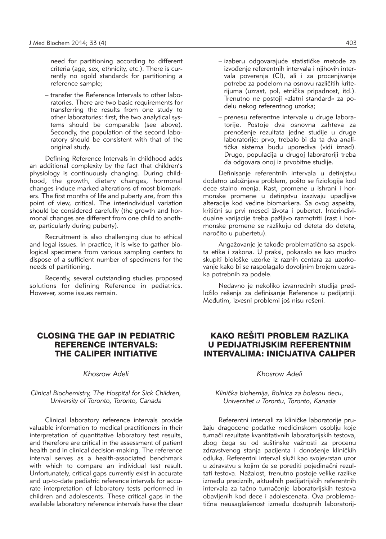need for partitioning according to different criteria (age, sex, ethnicity, etc.). There is currently no »gold standard« for partitioning a reference sample;

– transfer the Reference Intervals to other laboratories. There are two basic requirements for transferring the results from one study to other laboratories: first, the two analytical systems should be comparable (see above). Secondly, the population of the second laboratory should be consistent with that of the original study.

Defining Reference Intervals in childhood adds an additional complexity by the fact that children's physiology is continuously changing. During childhood, the growth, dietary changes, hormonal changes induce marked alterations of most biomarkers. The first months of life and puberty are, from this point of view, critical. The interindividual variation should be considered carefully (the growth and hormonal changes are different from one child to another, particularly during puberty).

Recruitment is also challenging due to ethical and legal issues. In practice, it is wise to gather biological specimens from various sampling centers to dispose of a sufficient number of specimens for the needs of partitioning.

Recently, several outstanding studies proposed solutions for defining Reference in pediatrics. However, some issues remain.

- izaberu odgovarajuće statističke metode za izvođenje referentnih intervala i njihovih intervala poverenja (CI), ali i za procenjivanje potrebe za podelom na osnovu različitih kriterijuma (uzrast, pol, etnička pripadnost, itd.). Trenutno ne postoji »zlatni standard« za podelu nekog referentnog uzorka;
- prenesu referentne intervale u druge laboratorije. Postoje dva osnovna zahteva za prenošenje rezultata jedne studije u druge laboratorije: prvo, trebalo bi da ta dva analitička sistema budu uporediva (vidi iznad). Drugo, populacija u drugoj laboratoriji treba da odgovara onoj iz prvobitne studije.

Definisanje referentnih intervala u detinjstvu dodatno usložnjava problem, pošto se fiziologija kod dece stalno menja. Rast, promene u ishrani i hormonske promene u detinjstvu izazivaju upadljive alteracije kod većine biomarkera. Sa ovog aspekta, kritični su prvi meseci života i pubertet. Interindividualne varijacije treba pažljivo razmotriti (rast i hormonske promene se razlikuju od deteta do deteta, naročito u pubertetu).

Angažovanje je takođe problematično sa aspekta etike i zakona. U praksi, pokazalo se kao mudro skupiti biološke uzorke iz raznih centara za uzorkovanje kako bi se raspolagalo dovoljnim brojem uzoraka potrebnih za podele.

Nedavno je nekoliko izvanrednih studija predložilo rešenia za definisanie Reference u pedijatriji. Međutim, izvesni problemi još nisu rešeni.

# CLOSING THE GAP IN PEDIATRIC REFERENCE INTERVALS: THE CALIPER INITIATIVE

### *Khosrow Adeli*

*Clinical Biochemistry, The Hospital for Sick Children, University of Toronto, Toronto, Canada*

Clinical laboratory reference intervals provide valuable information to medical practitioners in their interpretation of quantitative laboratory test results, and therefore are critical in the assessment of patient health and in clinical decision-making. The reference interval serves as a health-associated benchmark with which to compare an individual test result. Unfortunately, critical gaps currently exist in accurate and up-to-date pediatric reference intervals for accurate interpretation of laboratory tests performed in children and adolescents. These critical gaps in the available laboratory reference intervals have the clear

# KAKO REŠITI PROBLEM RAZLIKA U PEDIJATRIJSKIM REFERENTNIM INTERVALIMA: INICIJATIVA CALIPER

### *Khosrow Adeli*

#### *Klini~ka biohemija, Bolnica za bolesnu decu, Univerzitet u Torontu, Toronto, Kanada*

Referentni intervali za kliničke laboratorije pružaju dragocene podatke medicinskom osoblju koje tumači rezultate kvantitativnih laboratorijskih testova, zbog čega su od suštinske važnosti za procenu zdravstvenog stanja pacijenta i donošenje kliničkih odluka. Referentni interval služi kao svojevrstan uzor u zdravstvu s kojim će se porediti pojedinačni rezultati testova. Nažalost, trenutno postoje velike razlike između preciznih, aktuelnih pedijatrijskih referentnih intervala za tačno tumačenie laboratorijskih testova obavlienih kod dece i adolescenata. Ova problematična neusaglašenost između dostupnih laboratorij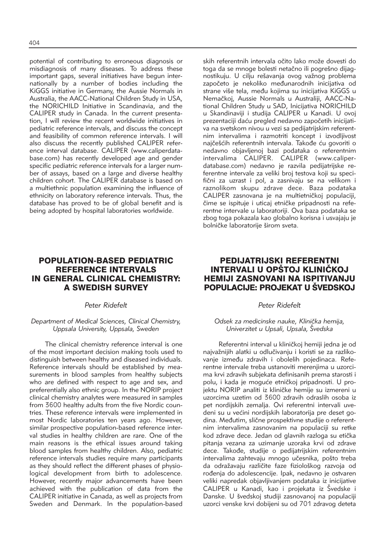potential of contributing to erroneous diagnosis or misdiagnosis of many diseases. To address these important gaps, several initiatives have begun internationally by a number of bodies including the KiGGS initiative in Germany, the Aussie Normals in Australia, the AACC-National Children Study in USA, the NORICHILD Initiative in Scandinavia, and the CALIPER study in Canada. In the current presentation, I will review the recent worldwide initiatives in pediatric reference intervals, and discuss the concept and feasibility of common reference intervals. I will also discuss the recently published CALIPER reference interval database. CALIPER (www.caliperdatabase.com) has recently developed age and gender specific pediatric reference intervals for a larger number of assays, based on a large and diverse healthy children cohort. The CALIPER database is based on a multiethnic population examining the influence of ethnicity on laboratory reference intervals. Thus, the database has proved to be of global benefit and is being adopted by hospital laboratories worldwide.

skih referentnih intervala očito lako može dovesti do toga da se mnoge bolesti netačno ili pogrešno dijagnostikuju. U cilju rešavanja ovog važnog problema započeto je nekoliko međunarodnih inicijativa od strane više tela, među kojima su inicijativa KiGGS u Nemačkoj, Aussie Normals u Australiji, AACC-National Children Study u SAD, Inicijativa NORICHILD u Skandinaviji i studija CALIPER u Kanadi. U ovoj prezentaciji daću pregled nedavno započetih inicijativa na svetskom nivou u vezi sa pedijatrijskim referentnim intervalima i razmotriti koncept i izvodljivost najčešćih referentnih intervala. Takođe ću govoriti o nedavno objavljenoj bazi podataka o referentnim intervalima CALIPER. CALIPER (www.caliperdatabase.com) nedavno je razvila pedijatrijske referentne intervale za veliki broj testova koji su specifični za uzrast i pol, a zasnivaju se na velikom i raznolikom skupu zdrave dece. Baza podataka CALIPER zasnovana je na multietničkoj populaciji, čime se ispituje i uticaj etničke pripadnosti na referentne intervale u laboratoriji. Ova baza podataka se zbog toga pokazala kao globalno korisna i usvajaju je bolničke laboratorije širom sveta.

# POPULATION-BASED PEDIATRIC REFERENCE INTERVALS IN GENERAL CLINICAL CHEMISTRY: A SWEDISH SURVEY

#### *Peter Ridefelt*

#### *Department of Medical Sciences, Clinical Chemistry, Uppsala University, Uppsala, Sweden*

The clinical chemistry reference interval is one of the most important decision making tools used to distinguish between healthy and diseased individuals. Reference intervals should be established by measurements in blood samples from healthy subjects who are defined with respect to age and sex, and preferentially also ethnic group. In the NORIP project clinical chemistry analytes were measured in samples from 3600 healthy adults from the five Nordic countries. These reference intervals were implemented in most Nordic laboratories ten years ago. However, similar prospective population-based reference interval studies in healthy children are rare. One of the main reasons is the ethical issues around taking blood samples from healthy children. Also, pediatric reference intervals studies require many participants as they should reflect the different phases of physiological development from birth to adolescence. However, recently major advancements have been achieved with the publication of data from the CALIPER initiative in Canada, as well as projects from Sweden and Denmark. In the population-based

### PEDIJATRIJSKI REFERENTNI INTERVALI U OPŠTOJ KLINIČKOJ HEMIJI ZASNOVANI NA ISPITIVANJU POPULACIJE: PROJEKAT U ŠVEDSKOJ

#### *Peter Ridefelt*

#### Odsek za medicinske nauke, Klinička hemija, *Univerzitet u Upsali, Upsala, Švedska*

Referentni interval u kliničkoj hemiji jedna je od najvažnijih alatki u odlučivanju i koristi se za razlikovanje između zdravih i obolelih pojedinaca. Referentne intervale treba ustanoviti merenjima u uzorcima krvi zdravih subjekata definisanih prema starosti i polu, i kada je moguće etničkoj pripadnosti. U projektu NORIP analiti iz kliničke hemije su izmereni u uzorcima uzetim od 3600 zdravih odraslih osoba iz pet nordijskih zemalja. Ovi referentni intervali uvedeni su u većini nordijskih laboratorija pre deset godina. Međutim, slične prospektivne studije o referentnim intervalima zasnovanim na populaciji su retke kod zdrave dece. Jedan od glavnih razloga su etička pitanja vezana za uzimanje uzoraka krvi od zdrave dece. Takođe, studije o pedijatrijskim referentnim intervalima zahtevaju mnogo učesnika, pošto treba da odražavaju različite faze fiziološkog razvoja od rođenja do adolescencije. Ipak, nedavno je ostvaren veliki napredak objavljivanjem podataka iz inicijative CALIPER u Kanadi, kao i projekata iz Švedske i Danske. U švedskoj studiji zasnovanoj na populaciji uzorci venske krvi dobijeni su od 701 zdravog deteta